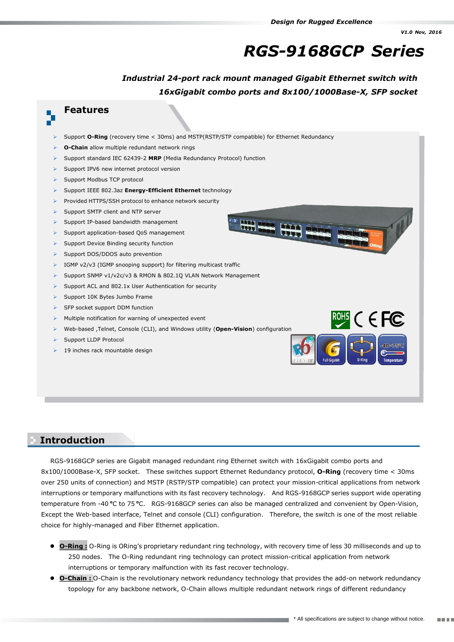# *RGS-9168GCP Series*

ROHS C EC

## *Industrial 24-port rack mount managed Gigabit Ethernet switch with 16xGigabit combo ports and 8x100/1000Base-X, SFP socket*

Han Han Han

#### **Features**

- Support **O-Ring** (recovery time < 30ms) and MSTP(RSTP/STP compatible) for Ethernet Redundancy
- **O-Chain** allow multiple redundant network rings
- Support standard IEC 62439-2 **MRP** (Media Redundancy Protocol) function
- Support IPV6 new internet protocol version
- Support Modbus TCP protocol
- Support IEEE 802.3az **Energy-Efficient Ethernet** technology
- Provided HTTPS/SSH protocol to enhance network security
- Support SMTP client and NTP server
- Support IP-based bandwidth management
- Support application-based QoS management
- Support Device Binding security function
- Support DOS/DDOS auto prevention
- IGMP v2/v3 (IGMP snooping support) for filtering multicast traffic
- Support SNMP v1/v2c/v3 & RMON & 802.1Q VLAN Network Management
- Support ACL and 802.1x User Authentication for security
- Support 10K Bytes Jumbo Frame
- SFP socket support DDM function
- Multiple notification for warning of unexpected event
- Web-based ,Telnet, Console (CLI), and Windows utility (**Open-Vision**) configuration
- Support LLDP Protocol
- 19 inches rack mountable design

#### **Introduction Introduction**

RGS-9168GCP series are Gigabit managed redundant ring Ethernet switch with 16xGigabit combo ports and 8x100/1000Base-X, SFP socket. These switches support Ethernet Redundancy protocol, **O-Ring** (recovery time < 30ms over 250 units of connection) and MSTP (RSTP/STP compatible) can protect your mission-critical applications from network interruptions or temporary malfunctions with its fast recovery technology. And RGS-9168GCP series support wide operating temperature from -40**<sup>o</sup>**C to 75**<sup>o</sup>**C. RGS-9168GCP series can also be managed centralized and convenient by Open-Vision, Except the Web-based interface, Telnet and console (CLI) configuration. Therefore, the switch is one of the most reliable choice for highly-managed and Fiber Ethernet application.

- **O-Ring :** O-Ring is ORing's proprietary redundant ring technology, with recovery time of less 30 milliseconds and up to 250 nodes. The O-Ring redundant ring technology can protect mission-critical application from network interruptions or temporary malfunction with its fast recover technology.
- **O-Chain :** O-Chain is the revolutionary network redundancy technology that provides the add-on network redundancy topology for any backbone network, O-Chain allows multiple redundant network rings of different redundancy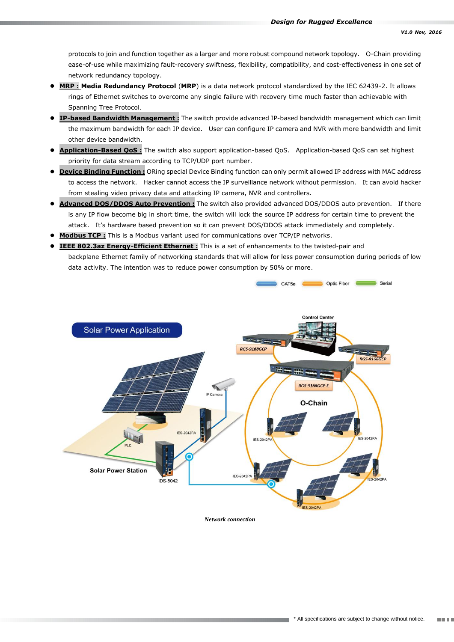protocols to join and function together as a larger and more robust compound network topology. O-Chain providing ease-of-use while maximizing fault-recovery swiftness, flexibility, compatibility, and cost-effectiveness in one set of network redundancy topology.

- **MRP : Media Redundancy Protocol** (**MRP**) is a data network protocol standardized by the IEC 62439-2. It allows rings of Ethernet switches to overcome any single failure with recovery time much faster than achievable with Spanning Tree Protocol.
- **IP-based Bandwidth Management :** The switch provide advanced IP-based bandwidth management which can limit the maximum bandwidth for each IP device. User can configure IP camera and NVR with more bandwidth and limit other device bandwidth.
- **Application-Based QoS :** The switch also support application-based QoS. Application-based QoS can set highest priority for data stream according to TCP/UDP port number.
- **Device Binding Function :** ORing special Device Binding function can only permit allowed IP address with MAC address to access the network. Hacker cannot access the IP surveillance network without permission. It can avoid hacker from stealing video privacy data and attacking IP camera, NVR and controllers.
- **Advanced DOS/DDOS Auto Prevention :** The switch also provided advanced DOS/DDOS auto prevention. If there is any IP flow become big in short time, the switch will lock the source IP address for certain time to prevent the attack. It's hardware based prevention so it can prevent DOS/DDOS attack immediately and completely.
- **Modbus TCP :** This is a Modbus variant used for communications over TCP/IP networks.
- **IEEE 802.3az Energy-Efficient Ethernet :** This is a set of enhancements to the twisted-pair and backplane Ethernet family of networking standards that will allow for less power consumption during periods of low data activity. The intention was to reduce power consumption by 50% or more.



*Network connection*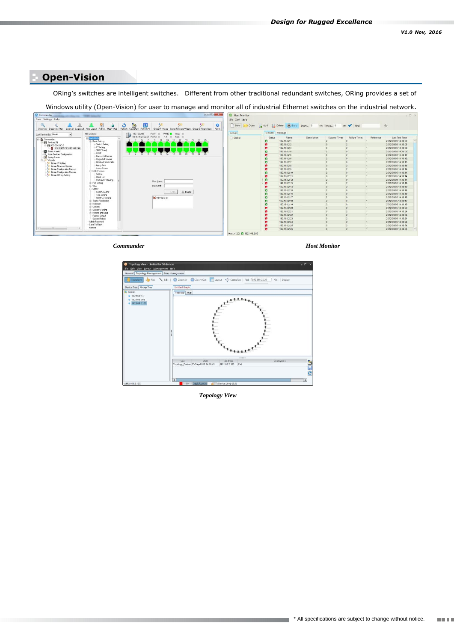### **Open-Vision**

ORing's switches are intelligent switches. Different from other traditional redundant switches, ORing provides a set of **Specifications**

Windows utility (Open-Vision) for user to manage and monitor all of industrial Ethernet switches on the industrial network.



*Commander*





*Topology View*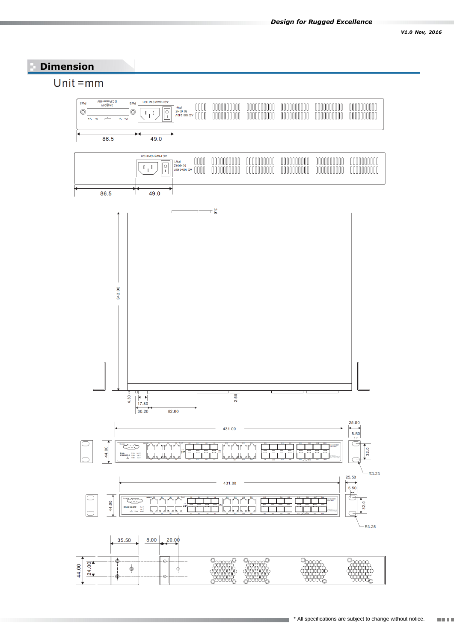## **Dimension**

# Unit  $=mm$

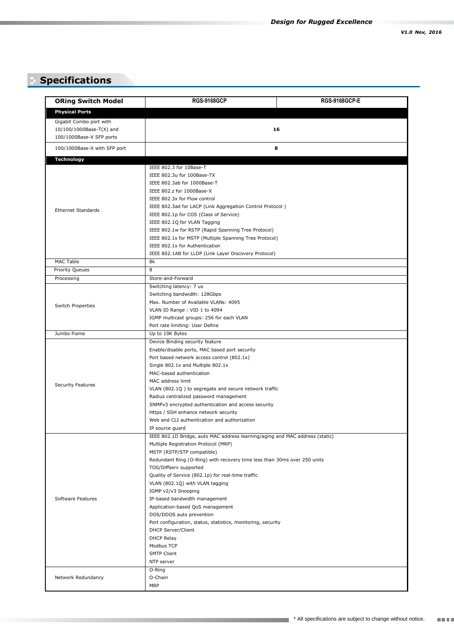# **Specifications**

| <b>ORing Switch Model</b>                                         | <b>RGS-9168GCP</b>                                                                                     | <b>RGS-9168GCP-E</b> |  |
|-------------------------------------------------------------------|--------------------------------------------------------------------------------------------------------|----------------------|--|
| <b>Physical Ports</b>                                             |                                                                                                        |                      |  |
| Gigabit Combo port with                                           |                                                                                                        |                      |  |
| 10/100/1000Base-T(X) and                                          | 16                                                                                                     |                      |  |
| 100/1000Base-X SFP ports                                          |                                                                                                        |                      |  |
| 100/1000Base-X with SFP port                                      |                                                                                                        | 8                    |  |
|                                                                   |                                                                                                        |                      |  |
| <b>Technology</b>                                                 |                                                                                                        |                      |  |
|                                                                   | IEEE 802.3 for 10Base-T                                                                                |                      |  |
|                                                                   | IEEE 802.3u for 100Base-TX<br>IEEE 802.3ab for 1000Base-T                                              |                      |  |
|                                                                   | IEEE 802.z for 1000Base-X                                                                              |                      |  |
|                                                                   | IEEE 802.3x for Flow control                                                                           |                      |  |
|                                                                   | IEEE 802.3ad for LACP (Link Aggregation Control Protocol)                                              |                      |  |
| <b>Ethernet Standards</b>                                         | IEEE 802.1p for COS (Class of Service)                                                                 |                      |  |
|                                                                   | IEEE 802.1Q for VLAN Tagging                                                                           |                      |  |
|                                                                   | IEEE 802.1w for RSTP (Rapid Spanning Tree Protocol)                                                    |                      |  |
|                                                                   | IEEE 802.1s for MSTP (Multiple Spanning Tree Protocol)                                                 |                      |  |
|                                                                   | IEEE 802.1x for Authentication                                                                         |                      |  |
|                                                                   | IEEE 802.1AB for LLDP (Link Layer Discovery Protocol)                                                  |                      |  |
| <b>MAC Table</b>                                                  | 8k                                                                                                     |                      |  |
| <b>Priority Queues</b>                                            | 8                                                                                                      |                      |  |
| Processing                                                        | Store-and-Forward                                                                                      |                      |  |
|                                                                   | Switching latency: 7 us                                                                                |                      |  |
|                                                                   | Switching bandwidth: 128Gbps                                                                           |                      |  |
| Switch Properties                                                 | Max. Number of Available VLANs: 4095                                                                   |                      |  |
|                                                                   | VLAN ID Range: VID 1 to 4094                                                                           |                      |  |
|                                                                   | IGMP multicast groups: 256 for each VLAN                                                               |                      |  |
|                                                                   | Port rate limiting: User Define                                                                        |                      |  |
| Jumbo frame<br>Up to 10K Bytes<br>Device Binding security feature |                                                                                                        |                      |  |
|                                                                   | Enable/disable ports, MAC based port security                                                          |                      |  |
|                                                                   | Port based network access control (802.1x)                                                             |                      |  |
|                                                                   | Single 802.1x and Multiple 802.1x                                                                      |                      |  |
|                                                                   | MAC-based authentication                                                                               |                      |  |
|                                                                   | MAC address limit                                                                                      |                      |  |
| <b>Security Features</b>                                          | VLAN (802.1Q) to segregate and secure network traffic                                                  |                      |  |
|                                                                   | Radius centralized password management                                                                 |                      |  |
|                                                                   | SNMPv3 encrypted authentication and access security                                                    |                      |  |
|                                                                   | Https / SSH enhance network security                                                                   |                      |  |
|                                                                   | Web and CLI authentication and authorization                                                           |                      |  |
|                                                                   | IP source guard                                                                                        |                      |  |
|                                                                   | IEEE 802.1D Bridge, auto MAC address learning/aging and MAC address (static)                           |                      |  |
|                                                                   | Multiple Registration Protocol (MRP)                                                                   |                      |  |
|                                                                   | MSTP (RSTP/STP compatible)<br>Redundant Ring (O-Ring) with recovery time less than 30ms over 250 units |                      |  |
|                                                                   | TOS/Diffserv supported                                                                                 |                      |  |
|                                                                   | Quality of Service (802.1p) for real-time traffic                                                      |                      |  |
|                                                                   | VLAN (802.1Q) with VLAN tagging                                                                        |                      |  |
| Software Features                                                 | IGMP v2/v3 Snooping                                                                                    |                      |  |
|                                                                   | IP-based bandwidth management                                                                          |                      |  |
|                                                                   | Application-based QoS management                                                                       |                      |  |
|                                                                   | DOS/DDOS auto prevention                                                                               |                      |  |
|                                                                   | Port configuration, status, statistics, monitoring, security                                           |                      |  |
|                                                                   | DHCP Server/Client                                                                                     |                      |  |
|                                                                   | <b>DHCP Relay</b>                                                                                      |                      |  |
|                                                                   | Modbus TCP                                                                                             |                      |  |
|                                                                   | <b>SMTP Client</b>                                                                                     |                      |  |
|                                                                   | NTP server                                                                                             |                      |  |
| O-Ring                                                            |                                                                                                        |                      |  |
| Network Redundancy                                                | O-Chain<br><b>MRP</b>                                                                                  |                      |  |
|                                                                   |                                                                                                        |                      |  |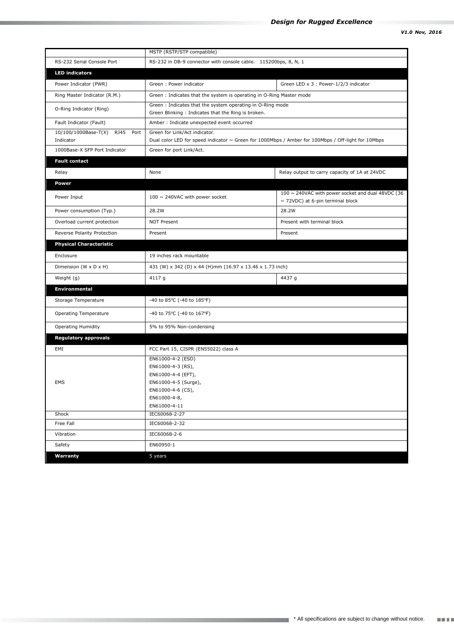|                                                   | MSTP (RSTP/STP compatible)                                                                                                               |                                                                                                 |  |
|---------------------------------------------------|------------------------------------------------------------------------------------------------------------------------------------------|-------------------------------------------------------------------------------------------------|--|
| RS-232 Serial Console Port                        | RS-232 in DB-9 connector with console cable. 115200bps, 8, N, 1                                                                          |                                                                                                 |  |
| <b>LED indicators</b>                             |                                                                                                                                          |                                                                                                 |  |
| Power Indicator (PWR)                             | Green: Power indicator                                                                                                                   | Green LED x 3 : Power-1/2/3 indicator                                                           |  |
| Ring Master Indicator (R.M.)                      | Green: Indicates that the system is operating in O-Ring Master mode                                                                      |                                                                                                 |  |
| O-Ring Indicator (Ring)                           | Green: Indicates that the system operating in O-Ring mode                                                                                |                                                                                                 |  |
|                                                   | Green Blinking: Indicates that the Ring is broken.                                                                                       |                                                                                                 |  |
| Fault Indicator (Fault)                           | Amber : Indicate unexpected event occurred                                                                                               |                                                                                                 |  |
| 10/100/1000Base-T(X)<br>RJ45<br>Port<br>Indicator | Green for Link/Act indicator.<br>Dual color LED for speed indicator $\sim$ Green for 1000Mbps / Amber for 100Mbps / Off-light for 10Mbps |                                                                                                 |  |
| 1000Base-X SFP Port Indicator                     | Green for port Link/Act.                                                                                                                 |                                                                                                 |  |
| <b>Fault contact</b>                              |                                                                                                                                          |                                                                                                 |  |
|                                                   | None                                                                                                                                     |                                                                                                 |  |
| Relay                                             |                                                                                                                                          | Relay output to carry capacity of 1A at 24VDC                                                   |  |
| <b>Power</b>                                      |                                                                                                                                          |                                                                                                 |  |
| Power Input                                       | 100 $\sim$ 240VAC with power socket                                                                                                      | 100 $\sim$ 240VAC with power socket and dual 48VDC (36<br>$\sim$ 72VDC) at 6-pin terminal block |  |
| Power consumption (Typ.)                          | 28.2W                                                                                                                                    | 28.2W                                                                                           |  |
| Overload current protection                       | <b>NOT Present</b>                                                                                                                       | Present with terminal block                                                                     |  |
| Reverse Polarity Protection                       | Present                                                                                                                                  | Present                                                                                         |  |
| <b>Physical Characteristic</b>                    |                                                                                                                                          |                                                                                                 |  |
| Enclosure                                         | 19 inches rack mountable                                                                                                                 |                                                                                                 |  |
| Dimension (W x D x H)                             | 431 (W) x 342 (D) x 44 (H)mm (16.97 x 13.46 x 1.73 inch)                                                                                 |                                                                                                 |  |
| Weight (g)                                        | 4117 g                                                                                                                                   | 4437 g                                                                                          |  |
| <b>Environmental</b>                              |                                                                                                                                          |                                                                                                 |  |
| Storage Temperature                               | -40 to 85°C (-40 to 185°F)                                                                                                               |                                                                                                 |  |
| <b>Operating Temperature</b>                      | -40 to 75°C (-40 to 167°F)                                                                                                               |                                                                                                 |  |
| <b>Operating Humidity</b>                         | 5% to 95% Non-condensing                                                                                                                 |                                                                                                 |  |
| <b>Regulatory approvals</b>                       |                                                                                                                                          |                                                                                                 |  |
| EMI                                               | FCC Part 15, CISPR (EN55022) class A                                                                                                     |                                                                                                 |  |
|                                                   | EN61000-4-2 (ESD)                                                                                                                        |                                                                                                 |  |
|                                                   | EN61000-4-3 (RS),                                                                                                                        |                                                                                                 |  |
|                                                   | EN61000-4-4 (EFT),                                                                                                                       |                                                                                                 |  |
| <b>EMS</b>                                        | EN61000-4-5 (Surge),                                                                                                                     |                                                                                                 |  |
|                                                   | EN61000-4-6 (CS),<br>EN61000-4-8,                                                                                                        |                                                                                                 |  |
|                                                   | EN61000-4-11                                                                                                                             |                                                                                                 |  |
| Shock                                             | IEC60068-2-27                                                                                                                            |                                                                                                 |  |
| Free Fall                                         | IEC60068-2-32                                                                                                                            |                                                                                                 |  |
| Vibration                                         | IEC60068-2-6                                                                                                                             |                                                                                                 |  |
| Safety                                            | EN60950-1                                                                                                                                |                                                                                                 |  |
| Warranty                                          | 5 years                                                                                                                                  |                                                                                                 |  |